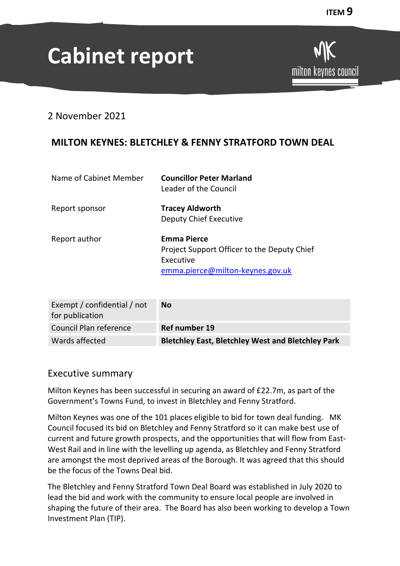# **Cabinet report**

# 2 November 2021

# **MILTON KEYNES: BLETCHLEY & FENNY STRATFORD TOWN DEAL**

| Name of Cabinet Member | <b>Councillor Peter Marland</b><br>Leader of the Council                                                           |
|------------------------|--------------------------------------------------------------------------------------------------------------------|
| Report sponsor         | <b>Tracey Aldworth</b><br><b>Deputy Chief Executive</b>                                                            |
| Report author          | <b>Emma Pierce</b><br>Project Support Officer to the Deputy Chief<br>Executive<br>emma.pierce@milton-keynes.gov.uk |

| Exempt / confidential / not<br>for publication | <b>No</b>                                                |
|------------------------------------------------|----------------------------------------------------------|
| Council Plan reference                         | Ref number 19                                            |
| Wards affected                                 | <b>Bletchley East, Bletchley West and Bletchley Park</b> |

## Executive summary

Milton Keynes has been successful in securing an award of £22.7m, as part of the Government's Towns Fund, to invest in Bletchley and Fenny Stratford.

Milton Keynes was one of the 101 places eligible to bid for town deal funding. MK Council focused its bid on Bletchley and Fenny Stratford so it can make best use of current and future growth prospects, and the opportunities that will flow from East-West Rail and in line with the levelling up agenda, as Bletchley and Fenny Stratford are amongst the most deprived areas of the Borough. It was agreed that this should be the focus of the Towns Deal bid.

The Bletchley and Fenny Stratford Town Deal Board was established in July 2020 to lead the bid and work with the community to ensure local people are involved in shaping the future of their area. The Board has also been working to develop a Town Investment Plan (TIP).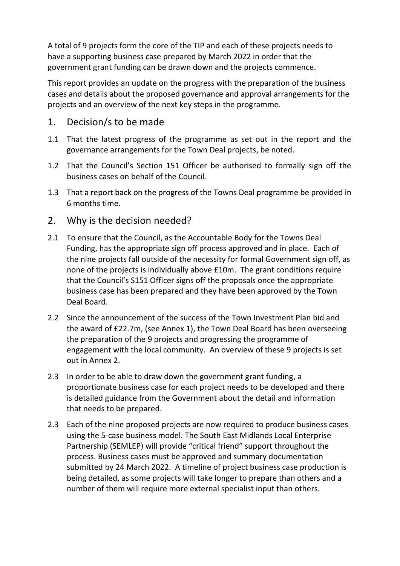A total of 9 projects form the core of the TIP and each of these projects needs to have a supporting business case prepared by March 2022 in order that the government grant funding can be drawn down and the projects commence.

This report provides an update on the progress with the preparation of the business cases and details about the proposed governance and approval arrangements for the projects and an overview of the next key steps in the programme.

## 1. Decision/s to be made

- 1.1 That the latest progress of the programme as set out in the report and the governance arrangements for the Town Deal projects, be noted.
- 1.2 That the Council's Section 151 Officer be authorised to formally sign off the business cases on behalf of the Council.
- 1.3 That a report back on the progress of the Towns Deal programme be provided in 6 months time.
- 2. Why is the decision needed?
- 2.1 To ensure that the Council, as the Accountable Body for the Towns Deal Funding, has the appropriate sign off process approved and in place. Each of the nine projects fall outside of the necessity for formal Government sign off, as none of the projects is individually above £10m. The grant conditions require that the Council's S151 Officer signs off the proposals once the appropriate business case has been prepared and they have been approved by the Town Deal Board.
- 2.2 Since the announcement of the success of the Town Investment Plan bid and the award of £22.7m, (see Annex 1), the Town Deal Board has been overseeing the preparation of the 9 projects and progressing the programme of engagement with the local community. An overview of these 9 projects is set out in Annex 2.
- 2.3 In order to be able to draw down the government grant funding, a proportionate business case for each project needs to be developed and there is detailed guidance from the Government about the detail and information that needs to be prepared.
- 2.3 Each of the nine proposed projects are now required to produce business cases using the 5-case business model. The South East Midlands Local Enterprise Partnership (SEMLEP) will provide "critical friend" support throughout the process. Business cases must be approved and summary documentation submitted by 24 March 2022. A timeline of project business case production is being detailed, as some projects will take longer to prepare than others and a number of them will require more external specialist input than others.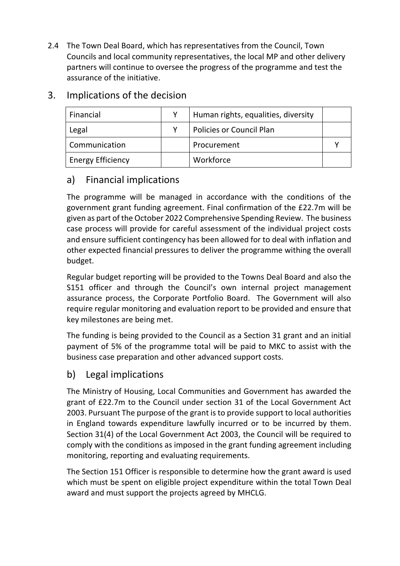2.4 The Town Deal Board, which has representatives from the Council, Town Councils and local community representatives, the local MP and other delivery partners will continue to oversee the progress of the programme and test the assurance of the initiative.

| Financial                | Human rights, equalities, diversity |  |
|--------------------------|-------------------------------------|--|
| Legal                    | Policies or Council Plan            |  |
| Communication            | Procurement                         |  |
| <b>Energy Efficiency</b> | Workforce                           |  |

# 3. Implications of the decision

# a) Financial implications

The programme will be managed in accordance with the conditions of the government grant funding agreement. Final confirmation of the £22.7m will be given as part of the October 2022 Comprehensive Spending Review. The business case process will provide for careful assessment of the individual project costs and ensure sufficient contingency has been allowed for to deal with inflation and other expected financial pressures to deliver the programme withing the overall budget.

Regular budget reporting will be provided to the Towns Deal Board and also the S151 officer and through the Council's own internal project management assurance process, the Corporate Portfolio Board. The Government will also require regular monitoring and evaluation report to be provided and ensure that key milestones are being met.

The funding is being provided to the Council as a Section 31 grant and an initial payment of 5% of the programme total will be paid to MKC to assist with the business case preparation and other advanced support costs.

# b) Legal implications

The Ministry of Housing, Local Communities and Government has awarded the grant of £22.7m to the Council under section 31 of the Local Government Act 2003. Pursuant The purpose of the grant is to provide support to local authorities in England towards expenditure lawfully incurred or to be incurred by them. Section 31(4) of the Local Government Act 2003, the Council will be required to comply with the conditions as imposed in the grant funding agreement including monitoring, reporting and evaluating requirements.

The Section 151 Officer is responsible to determine how the grant award is used which must be spent on eligible project expenditure within the total Town Deal award and must support the projects agreed by MHCLG.